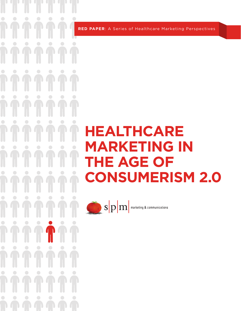**RED PAPER**: A Series of Healthcare Marketing Perspectives

U

 $\bigcirc$ 

 $\bigodot$ 

 $\bigodot$ 

 $\overline{\mathsf{L}}$ 

 $\bigcirc$ 

J

 $\bigcirc$ 

 $\begin{pmatrix} 1 \ 1 \end{pmatrix}$ 

 $\bigcirc$ 

 $\begin{pmatrix} 1 \\ 1 \end{pmatrix}$ 

 $\bigcirc$ 

 $\bullet$ 

 $\overline{\mathcal{A}}$ 

 $\bigcup$ 

 $\bigcirc$ 

 $\bigcup$ 

 $\bigcirc$ 

 $\overline{\mathsf{L}}$ 

 $\bigcirc$ 

 $\bigcirc$ 

 $\bigodot$ 

 $\bigodot$ 

 $\bigodot$ 

UUUUU

 $\bigcirc$ 

 $\bigcirc$ 

UU.

 $\bigodot$ 

 $\bigodot$ 

 $\bigcirc$ 

 $\bigodot$ 

 $\bigcirc$ 

 $\bigcirc$ 

 $\bigcirc$ 

 $\bigcirc$ 

 $(1)$ 

 $\bigcirc$ 

 $\bigodot$ 

 $\bigodot$ 

 $\bigcirc$ 

UU.

 $\bigcirc$ 

 $\bigcup$ 

 $\bigcirc$ 

UU D

 $\bigcirc$ 

UT

 $\bigcirc$ 

 $\bigodot$ 

4 D 

 $\bigcirc$ 

0

J

 $\bigcirc$ O

 $\bigcirc$ 

 $\bigodot$ 

**T** 

# **HEALTHCARE MARKETING IN THE AGE OF CONSUMERISM 2.0**

 $\bigcirc$  S  $\left| \mathrm{p} \right|$  marketing & communications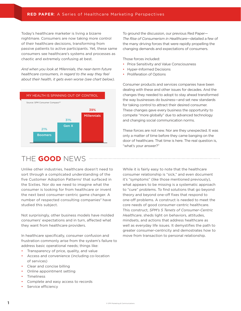Today's healthcare marketer is living a bizarre nightmare. Consumers are now taking more control of their healthcare decisions, transforming from passive patients to active participants. Yet, these same consumers see healthcare's systems and processes as chaotic and extremely confusing at best.

*And when you look at Milennials, the near-term future healthcare consumers, in regard to the way they feel about their health, it gets even worse (see chart below).* 



# THE **GOOD** NEWS

Unlike other industries, healthcare doesn't need to sort through a complicated understanding of the five Customer Adoption Patterns<sup>1</sup> that surfaced in the Sixties. Nor do we need to imagine what the consumer is looking for from healthcare or invent the next best consumer-centric game changer. A number of respected consulting companies<sup>2</sup> have studied this subject.

Not surprisingly, other business models have molded consumers' expectations and in turn, affected what they want from healthcare providers.

In healthcare specifically, consumer confusion and frustration commonly arise from the system's failure to address basic operational needs; things like:

- Transparency of price, quality, and value
- Access and convenience (including co-location of services)
- Clear and concise billing
- Online appointment setting
- **Timeliness**
- Complete and easy access to records
- Service efficiency

To ground the discussion, our previous Red Paper— *The Rise of Consumerism in Healthcare*—detailed a few of the many driving forces that were rapidly propelling the changing demands and expectations of consumers.

Those forces included:

- Price Sensitivity and Value Consciousness
- Hyper-Informed Decisions
- Proliferation of Options

Consumer products and services companies have been dealing with these and other issues for decades. And the changes they needed to adopt to stay ahead transformed the way businesses do business—and set new standards for taking control to attract their desired consumer. These changes gave every business the opportunity to compete "more globally" due to advanced technology and changing social communication norms.

These forces are not new. Nor are they unexpected. It was only a matter of time before they came banging on the door of healthcare. That time is here. The real question is, "what's your answer?"

While it is fairly easy to note that the healthcare consumer relationship is "sick," and even document it's "symptoms" (like those mentioned previously), what appears to be missing is a systematic approach to "cure" problems. To find solutions that go beyond theory and beyond one-off fixes that respond to one-off problems. A construct is needed to meet the core needs of good consumer-centric healthcare. This construct, *SPM's 5 Tenets of Consumer-Centric Healthcare*, sheds light on behaviors, attitudes, mindsets, and actions that address healthcare as well as everyday life issues. It demystifies the path to greater consumer-centricity and demostrates how to move from transaction to personal relationship.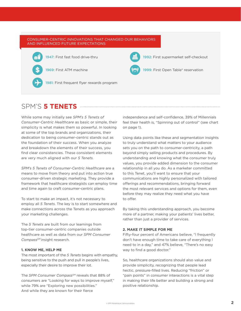

## SPM'S **5 TENETS**

While some may initially see *SPM's 5 Tenets of Consumer-Centric Healthcare* as basic or simple, their simplicity is what makes them so powerful. In looking at some of the top brands and organizations, their dedication to being consumer-centric stands out as the foundation of their success. When you analyze and breakdown the elements of their success, you find clear consistencies. These consistent elements are very much aligned with our *5 Tenets.*

*SPM's 5 Tenets of Consumer-Centric Healthcare* are a means to move from theory and put into action true consumer-driven strategic marketing. They provide a framework that healthcare strategists can employ time and time again to craft consumer-centric plans.

To start to make an impact, it's not necessary to employ all *5 Tenets*. The key is to start somewhere and make connections across the Tenets as you approach your marketing challenges.

The *5 Tenets* are built from our learnings from top-tier consumer-centric companies outside healthcare as well as data from our *SPM Consumer CompassSM* insight research.

#### **1. KNOW ME, HELP ME**

The most important of the *5 Tenets* begins with empathy, being sensitive to the push and pull in people's lives, especially their desire to improve their lot.

The *SPM Consumer Compass<sup>SM</sup>* reveals that 88% of consumers are "Looking for ways to improve myself," while 79% are "Exploring new possibilities." And while they are known for their fierce

independence and self-confidence, 39% of Millennials feel their health is, "Spinning out of control" (see chart on page 1).

Using data points like these and segmentation insights to truly understand what matters to your audience sets you on the path to consumer-centricity, a path beyond simply selling products and procedures. By understanding and knowing what the consumer truly values, you provide added dimension to the consumer relationship in all you do. As a marketer committed to this Tenet, you'll want to ensure that your communications are highly personalized with tailored offerings and recommendations, bringing forward the most relevant services and options for them, even before they may realize they need what you have to offer.

By taking this understanding approach, you become more of a partner, making your patients' lives better, rather than just a provider of services.

#### **2. MAKE IT SIMPLE FOR ME**

Fifty-four percent of Americans believe, "I frequently don't have enough time to take care of everything I need to in a day," and 47% believe, "There's no easy way to find a good doctor."

So, healthcare organizations should also value and provide simplicity, recognizing that people lead hectic, pressure-filled lives. Reducing "friction" or "pain points" in consumer interactions is a vital step in making their life better and building a strong and positive relationship.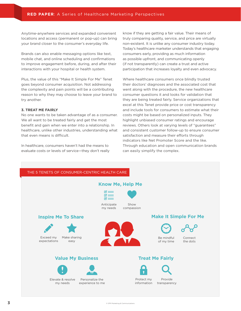Anytime-anywhere services and expanded convenient locations and access (permanent or pop-up) can bring your brand closer to the consumer's everyday life.

Brands can also enable messaging options like text, mobile chat, and online scheduling and confirmations to improve engagement before, during, and after their interactions with your hospital or health system.

Plus, the value of this "Make It Simple For Me" Tenet goes beyond consumer acquisition. Not addressing the complexity and pain points will be a contributing reason to why they may choose to leave your brand to try another.

#### **3. TREAT ME FAIRLY**

No one wants to be taken advantage of as a consumer. We all want to be treated fairly and get the most benefit and gain when we enter into a relationship. In healthcare, unlike other industries, understanding what that even means is difficult.

In healthcare, consumers haven't had the means to evaluate costs or levels of service—they don't really know if they are getting a fair value. Their means of truly comparing quality, service, and price are virtually non-existent. It is unlike any consumer industry today. Today's healthcare marketer understands that engaging consumers early, providing as much information as possible upfront, and communicating openly (if not transparently) can create a trust and active participation that increases loyalty and even advocacy.

Where healthcare consumers once blindly trusted their doctors' diagnoses and the associated cost that went along with the procedure, the new healthcare consumer questions it and looks for validation that they are being treated fairly. Service organizations that excel at this Tenet provide price or cost transparency and include tools for consumers to estimate what their costs might be based on personalized inputs. They highlight unbiased consumer ratings and encourage reviews. Others look at varying levels of "guarantees" and consistent customer follow-up to ensure consumer satisfaction and measure their efforts through indicators like Net Promoter Score and the like. Through education and open communication brands can easily simplify the complex.

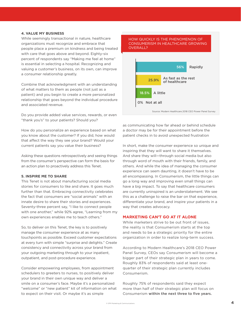#### **4. VALUE MY BUSINESS**

While seemingly transactional in nature, healthcare organizations must recognize and embrace that people place a premium on kindness and being treated with care that goes above and beyond. Eighty-six percent of respondents say "Making me feel at home" is essential in selecting a hospital. Recognizing and valuing a customer's business, on its own, can improve a consumer relationship greatly.

Combine that acknowledgment with an understanding of what matters to them as people (not just as a patient) and you begin to create a more personalized relationship that goes beyond the individual procedure and associated revenue.

Do you provide added value services, rewards, or even "thank you's" to your patients? Should you?

How do you personalize an experience based on what you know about the customer? If you did, how would that affect the way they see your brand? Would your current patients say you value their business?

Asking these questions retrospectively and seeing things from the consumer's perspective can form the basis for an action plan to proactively address this Tenet.

#### **5. INSPIRE ME TO SHARE**

This Tenet is not about manufacturing social media stories for consumers to like and share. It goes much further than that. Embracing connectivity celebrates the fact that consumers are "social animals" with an innate desire to share their stories and experiences. Seventy-three percent say, "I like to connect people with one another," while 92% agree, "Learning from my own experiences enables me to teach others."

So, to deliver on this Tenet, the key is to positively manage the consumer experience at as many touchpoints as possible. Exceed customer expectations at every turn with simple "surprise and delights." Create consistency and connectivity across your brand from your outgoing marketing through to your inpatient, outpatient, and post-procedure experience.

Consider empowering employees, from appointment schedulers to greeters to nurses, to positively deliver your brand in their own unique way and deliver a smile on a consumer's face. Maybe it's a personalized "welcome" or "new patient" kit of information on what to expect on their visit. Or maybe it's as simple



as communicating how far ahead or behind schedule a doctor may be for their appointment before the patient checks in to avoid unexpected frustration

In short, make the consumer experience so unique and inspiring that they will want to share it themselves. And share they will—through social media but also through word of mouth with their friends, family, and others. And while the idea of managing the consumer experience can seem daunting, it doesn't have to be all encompassing. In Consumerism, the little things can go a long way and improving even small things can have a big impact. To say that healthcare consumers are currently uninspired is an understatement. We see this as a challenge to raise the bar on that experience, differentiate your brand, and inspire your patients in a way that creates advocacy.

#### **MARKETING CAN'T GO AT IT ALONE**

While marketers strive to be out front of issues, the reality is that Consumerism starts at the top and needs to be a strategic priority for the entire organization in order to realize long-term success.

According to Modern Healthcare's 2018 CEO Power Panel Survey, CEOs say Consumerism will become a bigger part of their strategic plan in years to come. Roughly 83% of respondents said at least onequarter of their strategic plan currently includes Consumerism.

Roughly 75% of respondents said they expect more than half of their strategic plan will focus on Consumerism within the next three to five years.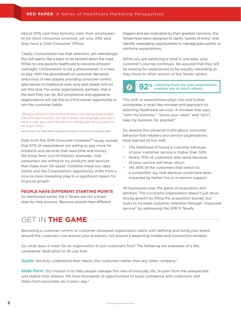About 87% said they formally train their employees to be more consumer-oriented, yet only 24% said they have a Chief Consumer Officer.

Clearly, Consumerism has their attention, yet interestingly, this still seems like a topic to be tackled down the road. While no one expects healthcare to become Amazon overnight, Consumerism is not a phenomenon. It is here to stay. With the groundswell of consumer demands and a host of new players providing consumer-centric alternatives to traditional care, slow and steady will not win this race. For some organizations, perhaps, that is the best they can do. But progressive and aggressive organizations will see this as a first-mover opportunity to win the consumer battle.

*"Being a patient in the United States is like being drop-kicked into a foreign country. You don't know the language, you don't have a map, you can't tell who's in charge, and all you want to do is go home."*

*Jessie Gruman, PhD. (1953-2014), Founder and President of the Center for Advancing Health*

Data from the *SPM Consumer Compass<sup>SM</sup>* study reveals that 67% of respondents are willing to pay more for products and services that save time and money. We know from out-of-industry examples, that consumers are willing to try products and services that make their life easier. Combine these two data points and the Consumerism opportunity shifts from a nice-to-have marketing play to a significant means for financial growth.

#### **PEOPLE HAVE DIFFERENT STARTING POINTS**

As mentioned earlier, the *5 Tenets* are not a linear step-by-step process. Because people have different

triggers and are motivated by their greatest concerns, the Tenets have been designed to clarify "points of entry" and identify messaging opportunities to manage pain points or reinforce expectations.

While you are satisfying a need in one area, your customer's journey continues. Be assured that they will be looking for experiences to be equally rewarding as they move to other sectors of the Tenets sphere.

#### **92** Learning from my own experiences  $\left( f\right)$ enables me to teach others.

This shift in expectations plays into and further accelerates a retail-like mindset and approach to selecting healthcare services. A mindset that says, "earn my business," "prove your value," and "don't take my business for granted."

So, beware the universal truths about consumer behavior that retailers and service organizations have learned all too well:

- The likelihood of losing a customer because of poor customer service is higher than 50%
- Nearly 70% of customers who leave because of poor service will never return
- Yet, 85% of the customers that switch to a competitor say that decision could have been impacted by better live or in-person support

All businesses play the game of acquisition and attrition. The successful organization doesn't just drive strong growth by filling the acquisition bucket, but looks to increase customer retention through "improved service" by addressing the *SPM 5 Tenets*.

## GET IN **THE GAME**

Becoming a customer-centric or customer-obsessed organization starts with defining and living your brand around the customer—not around your products, not around a beginning-middle-end transaction mindset.

So, what does it mean for an organization to put customers first? The following are examples of a few companies' dedication to do just that:

Apple: We truly understand their needs (the customer) better than any other company.<sup>3</sup>

**State Farm:** Our mission is to help people manage the risks of everyday life, recover from the unexpected, and realize their dreams. We have thousands of opportunities to build confidence with customers and State Farm associates do it every day.4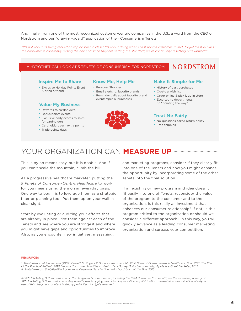And finally, from one of the most recognized customer-centric companies in the U.S., a word from the CEO of Nordstrom and our "drawing-board" application of their Consumerism Tenets.

*"It's not about us being ranked on top or 'best in class.' It's about doing what's best for the customer. In fact, forget 'best in class,' the consumer is constantly raising the bar, and since they are setting the standard, we're continually resetting ours upward."5*

#### A HYPOTHETICAL LOOK AT 5 TENETS OF CONSUMERISM FOR NORDSTROM

#### **Inspire Me to Share**

- Exclusive Holiday Points Event & bring a friend
- Personal Shopper **Know Me, Help Me**
	- Email alerts re: favorite brands
	- Reminder calls about favorite brand events/special purchases
- Rewards to cardholders **Value My Business**
- Bonus points events
- Exclusive early access to sales for cardholders
- Cardholders earn extra points
- Triple points days



#### **Make It Simple for Me**

**NORDSTROM** 

- History of past purchases
- Create a wish list
- Order online & pick it up in store
- Escorted to departments; no "pointing the way"

#### **Treat Me Fairly**

- No-questions-asked return policy
- Free shipping

### YOUR ORGANIZATION CAN **MEASURE UP**

This is by no means easy, but it is doable. And if you can't scale the mountain, climb the hill.

As a progressive healthcare marketer, putting the *5 Tenets of Consumer-Centric Healthcare* to work for you means using them on an everyday basis. One way to begin is to leverage them as a strategic filter or planning tool. Put them up on your wall in clear sight.

Start by evaluating or auditing your efforts that are already in place. Plot them against each of the Tenets and see where you are strongest and where you might have gaps and opportunities to improve. Also, as you encounter new initiatives, messaging,

and marketing programs, consider if they clearly fit into one of the Tenets and how you might enhance the opportunity by incorporating some of the other Tenets into the final solution.

If an existing or new program and idea doesn't fit easily into one of Tenets, reconsider the value of the program to the consumer and to the organization. Is this really an investment that enhances our consumer relationship? If not, is this program critical to the organization or should we consider a different approach? In this way, you will quickly advance as a leading consumer marketing organization and surpass your competition.

#### RESOURCES

*1. The Diffusion of Innovations (1962) Everett M. Rogers 2. Sources: KaufmanHall: 2018 State of Consumerism in Healthcare; Solv: 2018 The Rise of the Practical Patient; 2016 Deloitte Consumer Priorities in Health Care Survey 3. Forbes.com: Why Apple is a Great Marketer, 2012. 4. Statefarm.com 5. MyFeelBack.com: How Customer Satisfaction ranks Nordstrom at the Top, 2015*

© SPM Marketing & Communications. The design and content herein, including the SPM Consumer Compass<sup>SM</sup>, are the exclusive property of *SPM Marketing & Communications. Any unauthorized copying, reproduction, modification, distribution, transmission, republication, display or use of this design and content is strictly prohibited. All rights reserved.*